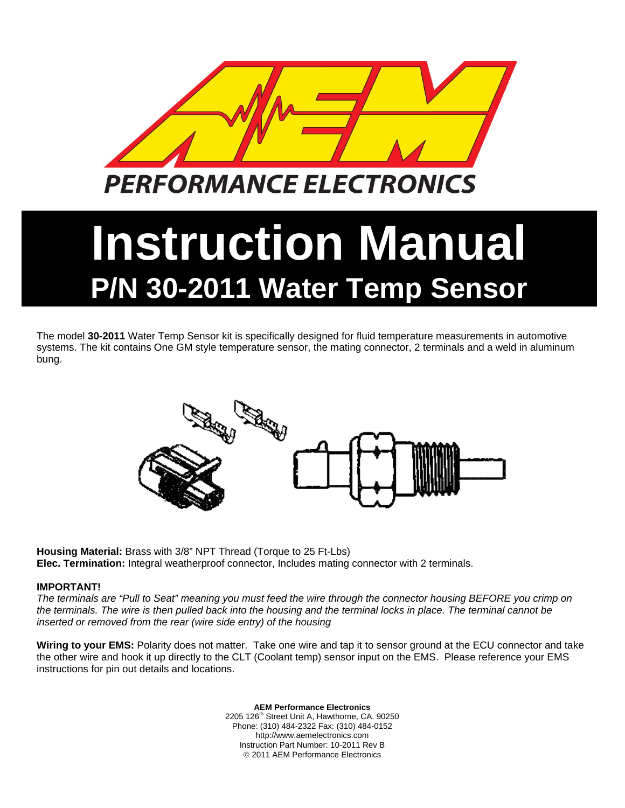

## **Instruction Manual P/N 30-2011 Water Temp Sensor**

The model **30-2011** Water Temp Sensor kit is specifically designed for fluid temperature measurements in automotive systems. The kit contains One GM style temperature sensor, the mating connector, 2 terminals and a weld in aluminum bung.



**Housing Material:** Brass with 3/8" NPT Thread (Torque to 25 Ft-Lbs) **Elec. Termination:** Integral weatherproof connector, Includes mating connector with 2 terminals.

## **IMPORTANT!**

*The terminals are "Pull to Seat" meaning you must feed the wire through the connector housing BEFORE you crimp on the terminals. The wire is then pulled back into the housing and the terminal locks in place. The terminal cannot be inserted or removed from the rear (wire side entry) of the housing* 

**Wiring to your EMS:** Polarity does not matter. Take one wire and tap it to sensor ground at the ECU connector and take the other wire and hook it up directly to the CLT (Coolant temp) sensor input on the EMS. Please reference your EMS instructions for pin out details and locations.

> **AEM Performance Electronics**  2205 126<sup>th</sup> Street Unit A, Hawthorne, CA. 90250 Phone: (310) 484-2322 Fax: (310) 484-0152 http://www.aemelectronics.com Instruction Part Number: 10-2011 Rev B © 2011 AEM Performance Electronics